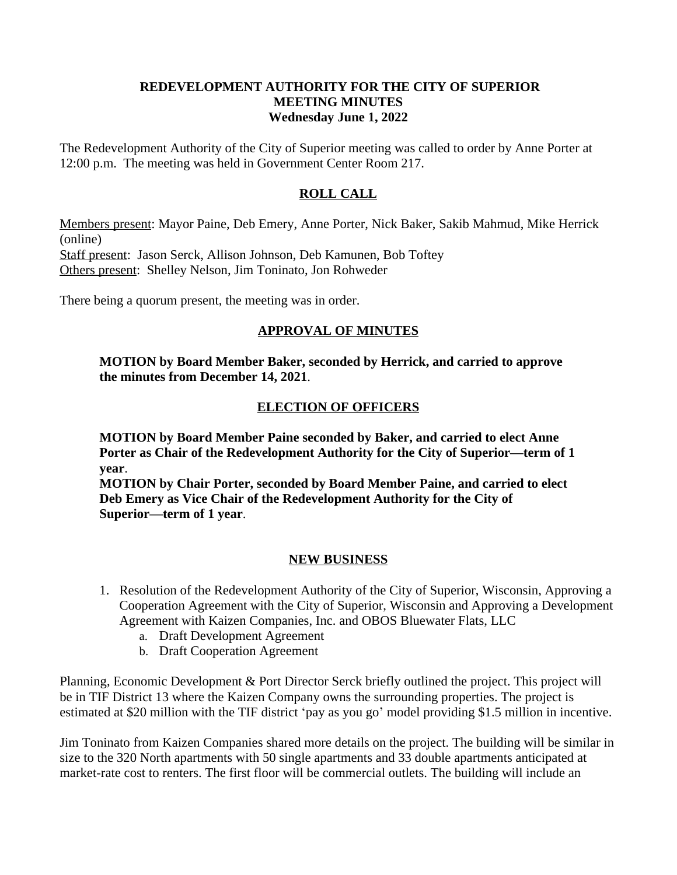### **REDEVELOPMENT AUTHORITY FOR THE CITY OF SUPERIOR MEETING MINUTES Wednesday June 1, 2022**

The Redevelopment Authority of the City of Superior meeting was called to order by Anne Porter at 12:00 p.m. The meeting was held in Government Center Room 217.

## **ROLL CALL**

Members present: Mayor Paine, Deb Emery, Anne Porter, Nick Baker, Sakib Mahmud, Mike Herrick (online)

Staff present: Jason Serck, Allison Johnson, Deb Kamunen, Bob Toftey Others present: Shelley Nelson, Jim Toninato, Jon Rohweder

There being a quorum present, the meeting was in order.

# **APPROVAL OF MINUTES**

**MOTION by Board Member Baker, seconded by Herrick, and carried to approve the minutes from December 14, 2021**.

### **ELECTION OF OFFICERS**

**MOTION by Board Member Paine seconded by Baker, and carried to elect Anne Porter as Chair of the Redevelopment Authority for the City of Superior—term of 1 year**.

**MOTION by Chair Porter, seconded by Board Member Paine, and carried to elect Deb Emery as Vice Chair of the Redevelopment Authority for the City of Superior—term of 1 year**.

### **NEW BUSINESS**

- 1. Resolution of the Redevelopment Authority of the City of Superior, Wisconsin, Approving a Cooperation Agreement with the City of Superior, Wisconsin and Approving a Development Agreement with Kaizen Companies, Inc. and OBOS Bluewater Flats, LLC
	- a. Draft Development Agreement
	- b. Draft Cooperation Agreement

Planning, Economic Development & Port Director Serck briefly outlined the project. This project will be in TIF District 13 where the Kaizen Company owns the surrounding properties. The project is estimated at \$20 million with the TIF district 'pay as you go' model providing \$1.5 million in incentive.

Jim Toninato from Kaizen Companies shared more details on the project. The building will be similar in size to the 320 North apartments with 50 single apartments and 33 double apartments anticipated at market-rate cost to renters. The first floor will be commercial outlets. The building will include an